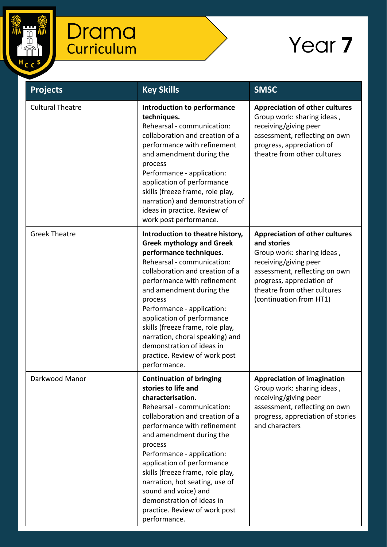

| <b>Projects</b>         | <b>Key Skills</b>                                                                                                                                                                                                                                                                                                                                                                                                                                          | <b>SMSC</b>                                                                                                                                                                                                                         |
|-------------------------|------------------------------------------------------------------------------------------------------------------------------------------------------------------------------------------------------------------------------------------------------------------------------------------------------------------------------------------------------------------------------------------------------------------------------------------------------------|-------------------------------------------------------------------------------------------------------------------------------------------------------------------------------------------------------------------------------------|
| <b>Cultural Theatre</b> | <b>Introduction to performance</b><br>techniques.<br>Rehearsal - communication:<br>collaboration and creation of a<br>performance with refinement<br>and amendment during the<br>process<br>Performance - application:<br>application of performance<br>skills (freeze frame, role play,<br>narration) and demonstration of<br>ideas in practice. Review of<br>work post performance.                                                                      | <b>Appreciation of other cultures</b><br>Group work: sharing ideas,<br>receiving/giving peer<br>assessment, reflecting on own<br>progress, appreciation of<br>theatre from other cultures                                           |
| <b>Greek Theatre</b>    | Introduction to theatre history,<br><b>Greek mythology and Greek</b><br>performance techniques.<br>Rehearsal - communication:<br>collaboration and creation of a<br>performance with refinement<br>and amendment during the<br>process<br>Performance - application:<br>application of performance<br>skills (freeze frame, role play,<br>narration, choral speaking) and<br>demonstration of ideas in<br>practice. Review of work post<br>performance.    | <b>Appreciation of other cultures</b><br>and stories<br>Group work: sharing ideas,<br>receiving/giving peer<br>assessment, reflecting on own<br>progress, appreciation of<br>theatre from other cultures<br>(continuation from HT1) |
| Darkwood Manor          | <b>Continuation of bringing</b><br>stories to life and<br>characterisation.<br>Rehearsal - communication:<br>collaboration and creation of a<br>performance with refinement<br>and amendment during the<br>process<br>Performance - application:<br>application of performance<br>skills (freeze frame, role play,<br>narration, hot seating, use of<br>sound and voice) and<br>demonstration of ideas in<br>practice. Review of work post<br>performance. | <b>Appreciation of imagination</b><br>Group work: sharing ideas,<br>receiving/giving peer<br>assessment, reflecting on own<br>progress, appreciation of stories<br>and characters                                                   |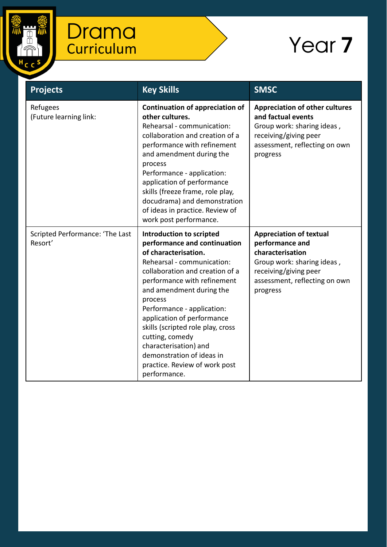

| <b>Projects</b>                            | <b>Key Skills</b>                                                                                                                                                                                                                                                                                                                                                                                                                                  | <b>SMSC</b>                                                                                                                                                               |
|--------------------------------------------|----------------------------------------------------------------------------------------------------------------------------------------------------------------------------------------------------------------------------------------------------------------------------------------------------------------------------------------------------------------------------------------------------------------------------------------------------|---------------------------------------------------------------------------------------------------------------------------------------------------------------------------|
| Refugees<br>(Future learning link:         | <b>Continuation of appreciation of</b><br>other cultures.<br>Rehearsal - communication:<br>collaboration and creation of a<br>performance with refinement<br>and amendment during the<br>process<br>Performance - application:<br>application of performance<br>skills (freeze frame, role play,<br>docudrama) and demonstration<br>of ideas in practice. Review of<br>work post performance.                                                      | <b>Appreciation of other cultures</b><br>and factual events<br>Group work: sharing ideas,<br>receiving/giving peer<br>assessment, reflecting on own<br>progress           |
| Scripted Performance: 'The Last<br>Resort' | Introduction to scripted<br>performance and continuation<br>of characterisation.<br>Rehearsal - communication:<br>collaboration and creation of a<br>performance with refinement<br>and amendment during the<br>process<br>Performance - application:<br>application of performance<br>skills (scripted role play, cross<br>cutting, comedy<br>characterisation) and<br>demonstration of ideas in<br>practice. Review of work post<br>performance. | <b>Appreciation of textual</b><br>performance and<br>characterisation<br>Group work: sharing ideas,<br>receiving/giving peer<br>assessment, reflecting on own<br>progress |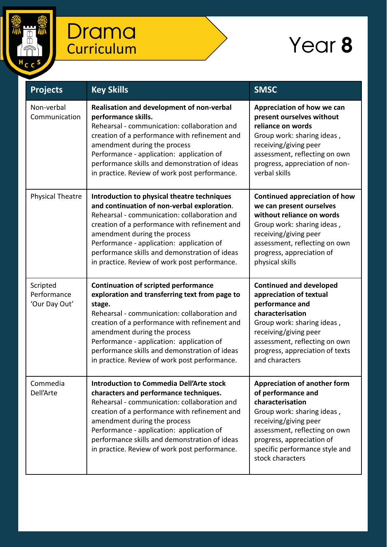

| <b>Projects</b>                          | <b>Key Skills</b>                                                                                                                                                                                                                                                                                                                                                                       | <b>SMSC</b>                                                                                                                                                                                                                                              |
|------------------------------------------|-----------------------------------------------------------------------------------------------------------------------------------------------------------------------------------------------------------------------------------------------------------------------------------------------------------------------------------------------------------------------------------------|----------------------------------------------------------------------------------------------------------------------------------------------------------------------------------------------------------------------------------------------------------|
| Non-verbal<br>Communication              | Realisation and development of non-verbal<br>performance skills.<br>Rehearsal - communication: collaboration and<br>creation of a performance with refinement and<br>amendment during the process<br>Performance - application: application of<br>performance skills and demonstration of ideas<br>in practice. Review of work post performance.                                        | Appreciation of how we can<br>present ourselves without<br>reliance on words<br>Group work: sharing ideas,<br>receiving/giving peer<br>assessment, reflecting on own<br>progress, appreciation of non-<br>verbal skills                                  |
| <b>Physical Theatre</b>                  | Introduction to physical theatre techniques<br>and continuation of non-verbal exploration.<br>Rehearsal - communication: collaboration and<br>creation of a performance with refinement and<br>amendment during the process<br>Performance - application: application of<br>performance skills and demonstration of ideas<br>in practice. Review of work post performance.              | <b>Continued appreciation of how</b><br>we can present ourselves<br>without reliance on words<br>Group work: sharing ideas,<br>receiving/giving peer<br>assessment, reflecting on own<br>progress, appreciation of<br>physical skills                    |
| Scripted<br>Performance<br>'Our Day Out' | <b>Continuation of scripted performance</b><br>exploration and transferring text from page to<br>stage.<br>Rehearsal - communication: collaboration and<br>creation of a performance with refinement and<br>amendment during the process<br>Performance - application: application of<br>performance skills and demonstration of ideas<br>in practice. Review of work post performance. | <b>Continued and developed</b><br>appreciation of textual<br>performance and<br>characterisation<br>Group work: sharing ideas,<br>receiving/giving peer<br>assessment, reflecting on own<br>progress, appreciation of texts<br>and characters            |
| Commedia<br>Dell'Arte                    | <b>Introduction to Commedia Dell'Arte stock</b><br>characters and performance techniques.<br>Rehearsal - communication: collaboration and<br>creation of a performance with refinement and<br>amendment during the process<br>Performance - application: application of<br>performance skills and demonstration of ideas<br>in practice. Review of work post performance.               | <b>Appreciation of another form</b><br>of performance and<br>characterisation<br>Group work: sharing ideas,<br>receiving/giving peer<br>assessment, reflecting on own<br>progress, appreciation of<br>specific performance style and<br>stock characters |